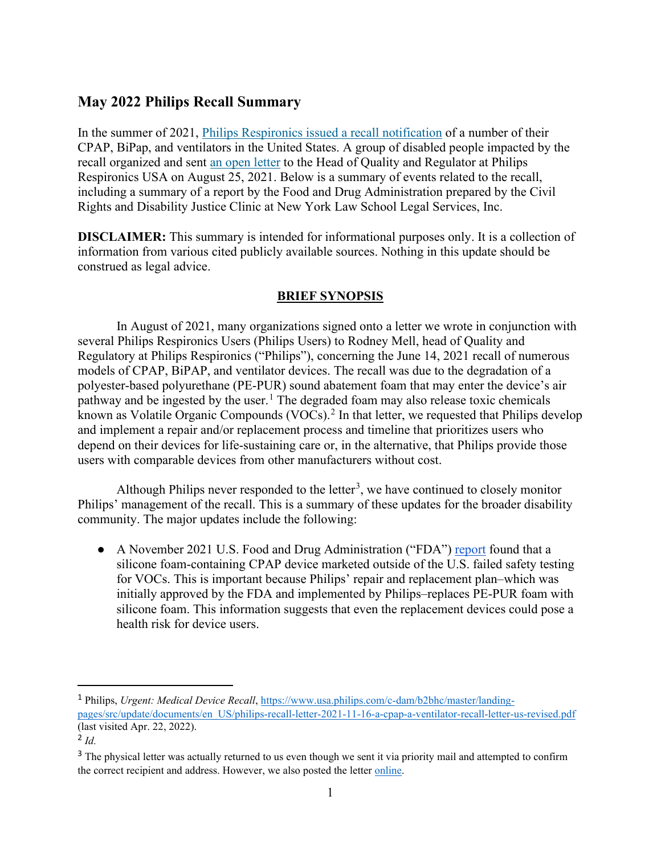# **May 2022 Philips Recall Summary**

In the summer of 2021, Philips Respironics issued a recall notification of a number of their CPAP, BiPap, and ventilators in the United States. A group of disabled people impacted by the recall organized and sent an open letter to the Head of Quality and Regulator at Philips Respironics USA on August 25, 2021. Below is a summary of events related to the recall, including a summary of a report by the Food and Drug Administration prepared by the Civil Rights and Disability Justice Clinic at New York Law School Legal Services, Inc.

 **DISCLAIMER:** This summary is intended for informational purposes only. It is a collection of information from various cited publicly available sources. Nothing in this update should be construed as legal advice.

## **BRIEF SYNOPSIS**

In August of 2021, many organizations signed onto a letter we wrote in conjunction with several Philips Respironics Users (Philips Users) to Rodney Mell, head of Quality and Regulatory at Philips Respironics ("Philips"), concerning the June 14, 2021 recall of numerous models of CPAP, BiPAP, and ventilator devices. The recall was due to the degradation of a polyester-based polyurethane (PE-PUR) sound abatement foam that may enter the device's air pathway and be ingested by the user.<sup>1</sup> The degraded foam may also release toxic chemicals known as Volatile Organic Compounds (VOCs).<sup>[2](#page-0-1)</sup> In that letter, we requested that Philips develop and implement a repair and/or replacement process and timeline that prioritizes users who depend on their devices for life-sustaining care or, in the alternative, that Philips provide those users with comparable devices from other manufacturers without cost.

Although Philips never responded to the letter<sup>[3](#page-0-2)</sup>, we have continued to closely monitor Philips' management of the recall. This is a summary of these updates for the broader disability community. The major updates include the following:

• A November 2021 U.S. Food and Drug Administration ("FDA") report found that a silicone foam-containing CPAP device marketed outside of the U.S. failed safety testing for VOCs. This is important because Philips' repair and replacement plan–which was initially approved by the FDA and implemented by Philips–replaces PE-PUR foam with silicone foam. This information suggests that even the replacement devices could pose a health risk for device users.

<span id="page-0-0"></span><sup>1</sup>Philips, *Urgent: Medical Device Recall*[, https://www.usa.philips.com/c-dam/b2bhc/master/landing](https://www.usa.philips.com/c-dam/b2bhc/master/landing-pages/src/update/documents/en_US/philips-recall-letter-2021-11-16-a-cpap-a-ventilator-recall-letter-us-revised.pdf)[pages/src/update/documents/en\\_US/philips-recall-letter-2021-11-16-a-cpap-a-ventilator-recall-letter-us-revised.pdf](https://www.usa.philips.com/c-dam/b2bhc/master/landing-pages/src/update/documents/en_US/philips-recall-letter-2021-11-16-a-cpap-a-ventilator-recall-letter-us-revised.pdf)  (last visited Apr. 22, 2022).

<span id="page-0-1"></span><sup>2</sup>*Id.* 

<span id="page-0-2"></span><sup>&</sup>lt;sup>3</sup> The physical letter was actually returned to us even though we sent it via priority mail and attempted to confirm the correct recipient and address. However, we also posted the letter online.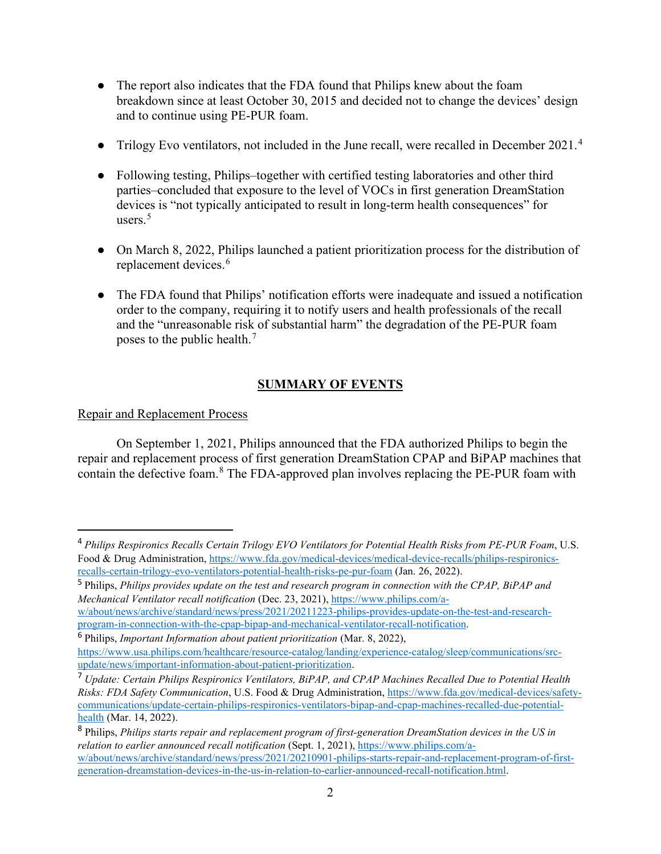- The report also indicates that the FDA found that Philips knew about the foam breakdown since at least October 30, 2015 and decided not to change the devices' design and to continue using PE-PUR foam.
- Trilogy Evo ventilators, not included in the June recall, were recalled in December 2021.<sup>4</sup>
- Following testing, Philips–together with certified testing laboratories and other third parties–concluded that exposure to the level of VOCs in first generation DreamStation devices is "not typically anticipated to result in long-term health consequences" for users. $5$
- On March 8, 2022, Philips launched a patient prioritization process for the distribution of replacement devices.<sup>[6](#page-1-2)</sup>
- The FDA found that Philips' notification efforts were inadequate and issued a notification order to the company, requiring it to notify users and health professionals of the recall and the "unreasonable risk of substantial harm" the degradation of the PE-PUR foam poses to the public health.[7](#page-1-3)

## **SUMMARY OF EVENTS**

## Repair and Replacement Process

On September 1, 2021, Philips announced that the FDA authorized Philips to begin the repair and replacement process of first generation DreamStation CPAP and BiPAP machines that contain the defective foam.[8](#page-1-4) The FDA-approved plan involves replacing the PE-PUR foam with

[w/about/news/archive/standard/news/press/2021/20211223-philips-provides-update-on-the-test-and-research](https://www.philips.com/a-w/about/news/archive/standard/news/press/2021/20211223-philips-provides-update-on-the-test-and-research-program-in-connection-with-the-cpap-bipap-and-mechanical-ventilator-recall-notification)[program-in-connection-with-the-cpap-bipap-and-mechanical-ventilator-recall-notification.](https://www.philips.com/a-w/about/news/archive/standard/news/press/2021/20211223-philips-provides-update-on-the-test-and-research-program-in-connection-with-the-cpap-bipap-and-mechanical-ventilator-recall-notification)

<span id="page-1-2"></span><sup>6</sup>Philips, *Important Information about patient prioritization* (Mar. 8, 2022),

<span id="page-1-0"></span><sup>4</sup>*Philips Respironics Recalls Certain Trilogy EVO Ventilators for Potential Health Risks from PE-PUR Foam*, U.S. Food & Drug Administration, [https://www.fda.gov/medical-devices/medical-device-recalls/philips-respironics](https://www.fda.gov/medical-devices/medical-device-recalls/philips-respironics-recalls-certain-trilogy-evo-ventilators-potential-health-risks-pe-pur-foam)[recalls-certain-trilogy-evo-ventilators-potential-health-risks-pe-pur-foam](https://www.fda.gov/medical-devices/medical-device-recalls/philips-respironics-recalls-certain-trilogy-evo-ventilators-potential-health-risks-pe-pur-foam) (Jan. 26, 2022).

<span id="page-1-1"></span><sup>&</sup>lt;sup>5</sup> Philips, *Philips provides update on the test and research program in connection with the CPAP, BiPAP and Mechanical Ventilator recall notification* (Dec. 23, 2021), [https://www.philips.com/a-](https://www.philips.com/a-w/about/news/archive/standard/news/press/2021/20211223-philips-provides-update-on-the-test-and-research-program-in-connection-with-the-cpap-bipap-and-mechanical-ventilator-recall-notification)

[https://www.usa.philips.com/healthcare/resource-catalog/landing/experience-catalog/sleep/communications/src](https://www.usa.philips.com/healthcare/resource-catalog/landing/experience-catalog/sleep/communications/src-update/news/important-information-about-patient-prioritization)[update/news/important-information-about-patient-prioritization.](https://www.usa.philips.com/healthcare/resource-catalog/landing/experience-catalog/sleep/communications/src-update/news/important-information-about-patient-prioritization)

<span id="page-1-3"></span><sup>7</sup>*Update: Certain Philips Respironics Ventilators, BiPAP, and CPAP Machines Recalled Due to Potential Health Risks: FDA Safety Communication*, U.S. Food & Drug Administration, [https://www.fda.gov/medical-devices/safety](https://www.fda.gov/medical-devices/safety-communications/update-certain-philips-respironics-ventilators-bipap-and-cpap-machines-recalled-due-potential-health)[communications/update-certain-philips-respironics-ventilators-bipap-and-cpap-machines-recalled-due-potential](https://www.fda.gov/medical-devices/safety-communications/update-certain-philips-respironics-ventilators-bipap-and-cpap-machines-recalled-due-potential-health)[health](https://www.fda.gov/medical-devices/safety-communications/update-certain-philips-respironics-ventilators-bipap-and-cpap-machines-recalled-due-potential-health) (Mar. 14, 2022).

<span id="page-1-4"></span><sup>8</sup>Philips, *Philips starts repair and replacement program of first-generation DreamStation devices in the US in relation to earlier announced recall notification* (Sept. 1, 2021)[, https://www.philips.com/a](https://www.philips.com/a-w/about/news/archive/standard/news/press/2021/20210901-philips-starts-repair-and-replacement-program-of-first-generation-dreamstation-devices-in-the-us-in-relation-to-earlier-announced-recall-notification.html)[w/about/news/archive/standard/news/press/2021/20210901-philips-starts-repair-and-replacement-program-of-first](https://www.philips.com/a-w/about/news/archive/standard/news/press/2021/20210901-philips-starts-repair-and-replacement-program-of-first-generation-dreamstation-devices-in-the-us-in-relation-to-earlier-announced-recall-notification.html)[generation-dreamstation-devices-in-the-us-in-relation-to-earlier-announced-recall-notification.html.](https://www.philips.com/a-w/about/news/archive/standard/news/press/2021/20210901-philips-starts-repair-and-replacement-program-of-first-generation-dreamstation-devices-in-the-us-in-relation-to-earlier-announced-recall-notification.html)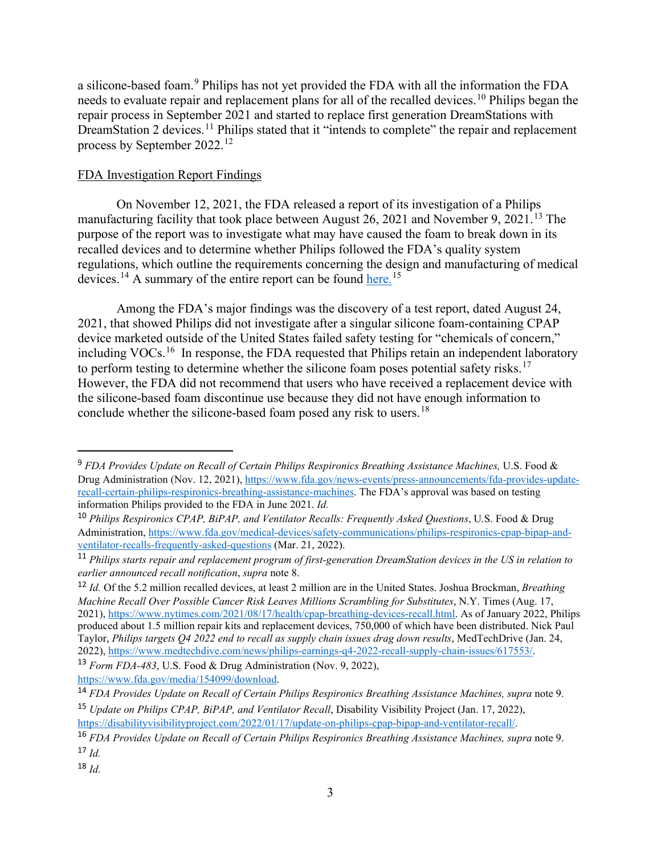a silicone-based foam.<sup>[9](#page-2-0)</sup> Philips has not yet provided the FDA with all the information the FDA needs to evaluate repair and replacement plans for all of the recalled devices.<sup>[10](#page-2-1)</sup> Philips began the repair process in September 2021 and started to replace first generation DreamStations with DreamStation 2 devices.<sup>[11](#page-2-2)</sup> Philips stated that it "intends to complete" the repair and replacement process by September 2022.[12](#page-2-3)

### FDA Investigation Report Findings

On November 12, 2021, the FDA released a report of its investigation of a Philips manufacturing facility that took place between August 26, 2021 and November 9, 2021.[13](#page-2-4) The purpose of the report was to investigate what may have caused the foam to break down in its recalled devices and to determine whether Philips followed the FDA's quality system regulations, which outline the requirements concerning the design and manufacturing of medical devices.<sup>14</sup> A summary of the entire report can be found here.<sup>15</sup>

Among the FDA's major findings was the discovery of a test report, dated August 24, 2021, that showed Philips did not investigate after a singular silicone foam-containing CPAP device marketed outside of the United States failed safety testing for "chemicals of concern," including VOCs.<sup>[16](#page-2-7)</sup> In response, the FDA requested that Philips retain an independent laboratory to perform testing to determine whether the silicone foam poses potential safety risks.<sup>[17](#page-2-8)</sup> However, the FDA did not recommend that users who have received a replacement device with the silicone-based foam discontinue use because they did not have enough information to conclude whether the silicone-based foam posed any risk to users.<sup>[18](#page-2-9)</sup>

<span id="page-2-9"></span> $18$   $1d$ .

<span id="page-2-0"></span><sup>9</sup>*FDA Provides Update on Recall of Certain Philips Respironics Breathing Assistance Machines,* U.S. Food & Drug Administration (Nov. 12, 2021), [https://www.fda.gov/news-events/press-announcements/fda-provides-update](https://www.fda.gov/news-events/press-announcements/fda-provides-update-recall-certain-philips-respironics-breathing-assistance-machines)[recall-certain-philips-respironics-breathing-assistance-machines.](https://www.fda.gov/news-events/press-announcements/fda-provides-update-recall-certain-philips-respironics-breathing-assistance-machines) The FDA's approval was based on testing information Philips provided to the FDA in June 2021. *Id.* 

<span id="page-2-1"></span><sup>10</sup>*Philips Respironics CPAP, BiPAP, and Ventilator Recalls: Frequently Asked Questions*, U.S. Food & Drug Administration[, https://www.fda.gov/medical-devices/safety-communications/philips-respironics-cpap-bipap-and](https://www.fda.gov/medical-devices/safety-communications/philips-respironics-cpap-bipap-and-ventilator-recalls-frequently-asked-questions)[ventilator-recalls-frequently-asked-questions](https://www.fda.gov/medical-devices/safety-communications/philips-respironics-cpap-bipap-and-ventilator-recalls-frequently-asked-questions) (Mar. 21, 2022).

<span id="page-2-2"></span><sup>11</sup>*Philips starts repair and replacement program of first-generation DreamStation devices in the US in relation to earlier announced recall notification*, *supra* note 8.

<span id="page-2-3"></span><sup>12</sup>*Id.* Of the 5.2 million recalled devices, at least 2 million are in the United States. Joshua Brockman, *Breathing Machine Recall Over Possible Cancer Risk Leaves Millions Scrambling for Substitutes*, N.Y. Times (Aug. 17, 2021), [https://www.nytimes.com/2021/08/17/health/cpap-breathing-devices-recall.html.](https://www.nytimes.com/2021/08/17/health/cpap-breathing-devices-recall.html) As of January 2022, Philips produced about 1.5 million repair kits and replacement devices, 750,000 of which have been distributed. Nick Paul Taylor, *Philips targets Q4 2022 end to recall as supply chain issues drag down results*, MedTechDrive (Jan. 24, 2022), [https://www.medtechdive.com/news/philips-earnings-q4-2022-recall-supply-chain-issues/617553/.](https://www.medtechdive.com/news/philips-earnings-q4-2022-recall-supply-chain-issues/617553/)

<span id="page-2-4"></span><sup>13</sup>*Form FDA-483*, U.S. Food & Drug Administration (Nov. 9, 2022), [https://www.fda.gov/media/154099/download.](https://www.fda.gov/media/154099/download) 

<span id="page-2-6"></span><span id="page-2-5"></span><sup>14</sup>*FDA Provides Update on Recall of Certain Philips Respironics Breathing Assistance Machines, supra* note 9. <sup>15</sup>*Update on Philips CPAP, BiPAP, and Ventilator Recall*, Disability Visibility Project (Jan. 17, 2022), [https://disabilityvisibilityproject.com/2022/01/17/update-on-philips-cpap-bipap-and-ventilator-recall/.](https://disabilityvisibilityproject.com/2022/01/17/update-on-philips-cpap-bipap-and-ventilator-recall/)

<span id="page-2-8"></span><span id="page-2-7"></span><sup>16</sup>*FDA Provides Update on Recall of Certain Philips Respironics Breathing Assistance Machines, supra* note 9.  $17$  *Id.*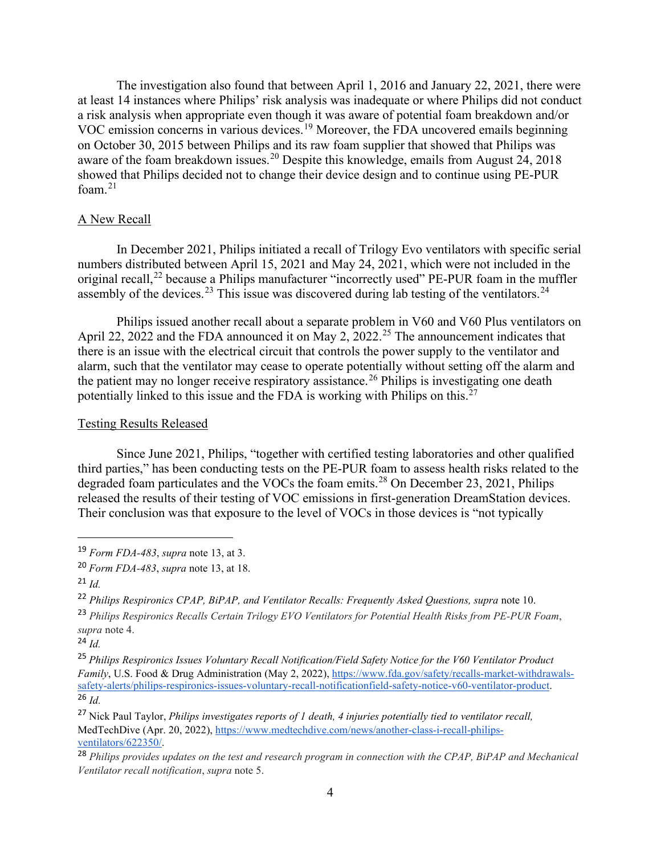The investigation also found that between April 1, 2016 and January 22, 2021, there were at least 14 instances where Philips' risk analysis was inadequate or where Philips did not conduct a risk analysis when appropriate even though it was aware of potential foam breakdown and/or VOC emission concerns in various devices.[19](#page-3-0) Moreover, the FDA uncovered emails beginning on October 30, 2015 between Philips and its raw foam supplier that showed that Philips was aware of the foam breakdown issues.<sup>20</sup> Despite this knowledge, emails from August 24, 2018 showed that Philips decided not to change their device design and to continue using PE-PUR foam. $21$ 

#### A New Recall

In December 2021, Philips initiated a recall of Trilogy Evo ventilators with specific serial numbers distributed between April 15, 2021 and May 24, 2021, which were not included in the original recall,<sup>22</sup> because a Philips manufacturer "incorrectly used" PE-PUR foam in the muffler assembly of the devices.<sup>[23](#page-3-4)</sup> This issue was discovered during lab testing of the ventilators.<sup>[24](#page-3-5)</sup>

Philips issued another recall about a separate problem in V60 and V60 Plus ventilators on April 22, 2022 and the FDA announced it on May 2, 2022.<sup>25</sup> The announcement indicates that there is an issue with the electrical circuit that controls the power supply to the ventilator and alarm, such that the ventilator may cease to operate potentially without setting off the alarm and the patient may no longer receive respiratory assistance.<sup>26</sup> Philips is investigating one death potentially linked to this issue and the FDA is working with Philips on this.<sup>27</sup>

#### Testing Results Released

Since June 2021, Philips, "together with certified testing laboratories and other qualified third parties," has been conducting tests on the PE-PUR foam to assess health risks related to the degraded foam particulates and the VOCs the foam emits.<sup>[28](#page-3-9)</sup> On December 23, 2021, Philips released the results of their testing of VOC emissions in first-generation DreamStation devices. Their conclusion was that exposure to the level of VOCs in those devices is "not typically

<span id="page-3-0"></span><sup>19</sup>*Form FDA-483*, *supra* note 13, at 3.

<span id="page-3-1"></span><sup>20</sup>*Form FDA-483*, *supra* note 13, at 18.

<span id="page-3-2"></span> $^{21}$ *Id.* 

<span id="page-3-3"></span><sup>&</sup>lt;sup>22</sup> Philips Respironics CPAP, BiPAP, and Ventilator Recalls: Frequently Asked Questions, supra note 10.

<span id="page-3-4"></span><sup>23</sup>*Philips Respironics Recalls Certain Trilogy EVO Ventilators for Potential Health Risks from PE-PUR Foam*, *supra* note 4.

<span id="page-3-5"></span> $^{24}$  *Id.* 

<span id="page-3-6"></span><sup>25</sup>*Philips Respironics Issues Voluntary Recall Notification/Field Safety Notice for the V60 Ventilator Product Family*, U.S. Food & Drug Administration (May 2, 2022)[, https://www.fda.gov/safety/recalls-market-withdrawals](https://www.fda.gov/safety/recalls-market-withdrawals-safety-alerts/philips-respironics-issues-voluntary-recall-notificationfield-safety-notice-v60-ventilator-product)[safety-alerts/philips-respironics-issues-voluntary-recall-notificationfield-safety-notice-v60-ventilator-product.](https://www.fda.gov/safety/recalls-market-withdrawals-safety-alerts/philips-respironics-issues-voluntary-recall-notificationfield-safety-notice-v60-ventilator-product) <sup>26</sup>*Id.* 

<span id="page-3-8"></span><span id="page-3-7"></span><sup>27</sup>Nick Paul Taylor, *Philips investigates reports of 1 death, 4 injuries potentially tied to ventilator recall,*  MedTechDive (Apr. 20, 2022)[, https://www.medtechdive.com/news/another-class-i-recall-philips](https://www.medtechdive.com/news/another-class-i-recall-philips-ventilators/622350/)[ventilators/622350/.](https://www.medtechdive.com/news/another-class-i-recall-philips-ventilators/622350/)

<span id="page-3-9"></span><sup>28</sup>*Philips provides updates on the test and research program in connection with the CPAP, BiPAP and Mechanical Ventilator recall notification*, *supra* note 5.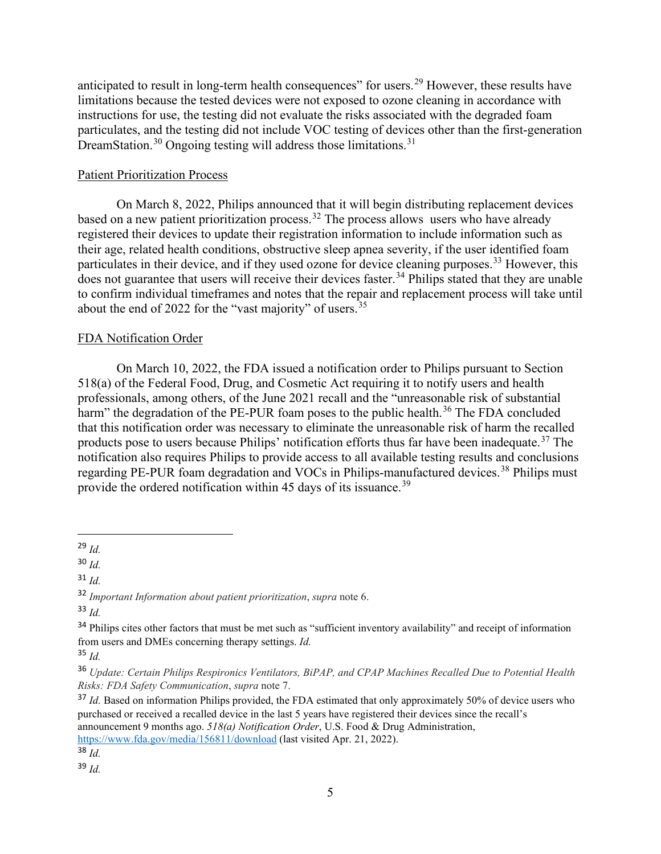anticipated to result in long-term health consequences" for users.<sup>[29](#page-4-0)</sup> However, these results have limitations because the tested devices were not exposed to ozone cleaning in accordance with instructions for use, the testing did not evaluate the risks associated with the degraded foam particulates, and the testing did not include VOC testing of devices other than the first-generation DreamStation.<sup>[30](#page-4-1)</sup> Ongoing testing will address those limitations.<sup>[31](#page-4-2)</sup>

#### Patient Prioritization Process

On March 8, 2022, Philips announced that it will begin distributing replacement devices based on a new patient prioritization process.<sup>32</sup> The process allows users who have already registered their devices to update their registration information to include information such as their age, related health conditions, obstructive sleep apnea severity, if the user identified foam particulates in their device, and if they used ozone for device cleaning purposes.<sup>[33](#page-4-4)</sup> However, this does not guarantee that users will receive their devices faster.<sup>[34](#page-4-5)</sup> Philips stated that they are unable to confirm individual timeframes and notes that the repair and replacement process will take until about the end of 2022 for the "vast majority" of users.<sup>[35](#page-4-6)</sup>

#### FDA Notification Order

On March 10, 2022, the FDA issued a notification order to Philips pursuant to Section 518(a) of the Federal Food, Drug, and Cosmetic Act requiring it to notify users and health professionals, among others, of the June 2021 recall and the "unreasonable risk of substantial harm" the degradation of the PE-PUR foam poses to the public health.<sup>36</sup> The FDA concluded that this notification order was necessary to eliminate the unreasonable risk of harm the recalled products pose to users because Philips' notification efforts thus far have been inadequate.<sup>37</sup> The notification also requires Philips to provide access to all available testing results and conclusions regarding PE-PUR foam degradation and VOCs in Philips-manufactured devices.<sup>[38](#page-4-9)</sup> Philips must provide the ordered notification within 45 days of its issuance.<sup>39</sup>

<span id="page-4-1"></span><sup>30</sup>*Id.* 

<span id="page-4-2"></span><sup>31</sup>*Id.* 

<span id="page-4-10"></span><sup>39</sup>*Id.* 

<span id="page-4-0"></span><sup>29</sup>*Id.* 

<span id="page-4-3"></span><sup>32</sup>*Important Information about patient prioritization*, *supra* note 6.

<span id="page-4-4"></span><sup>33</sup>*Id.* 

<span id="page-4-5"></span><sup>&</sup>lt;sup>34</sup> Philips cites other factors that must be met such as "sufficient inventory availability" and receipt of information from users and DMEs concerning therapy settings. *Id.*

<span id="page-4-6"></span><sup>35</sup>*Id.*

<span id="page-4-7"></span><sup>36</sup>*Update: Certain Philips Respironics Ventilators, BiPAP, and CPAP Machines Recalled Due to Potential Health Risks: FDA Safety Communication*, *supra* note 7.

<span id="page-4-8"></span><sup>&</sup>lt;sup>37</sup> Id. Based on information Philips provided, the FDA estimated that only approximately 50% of device users who purchased or received a recalled device in the last 5 years have registered their devices since the recall's announcement 9 months ago. *518(a) Notification Order*, U.S. Food & Drug Administration, [https://www.fda.gov/media/156811/download \(](https://www.fda.gov/media/156811/download)last visited Apr. 21, 2022).

<span id="page-4-9"></span><sup>38</sup>*Id.*